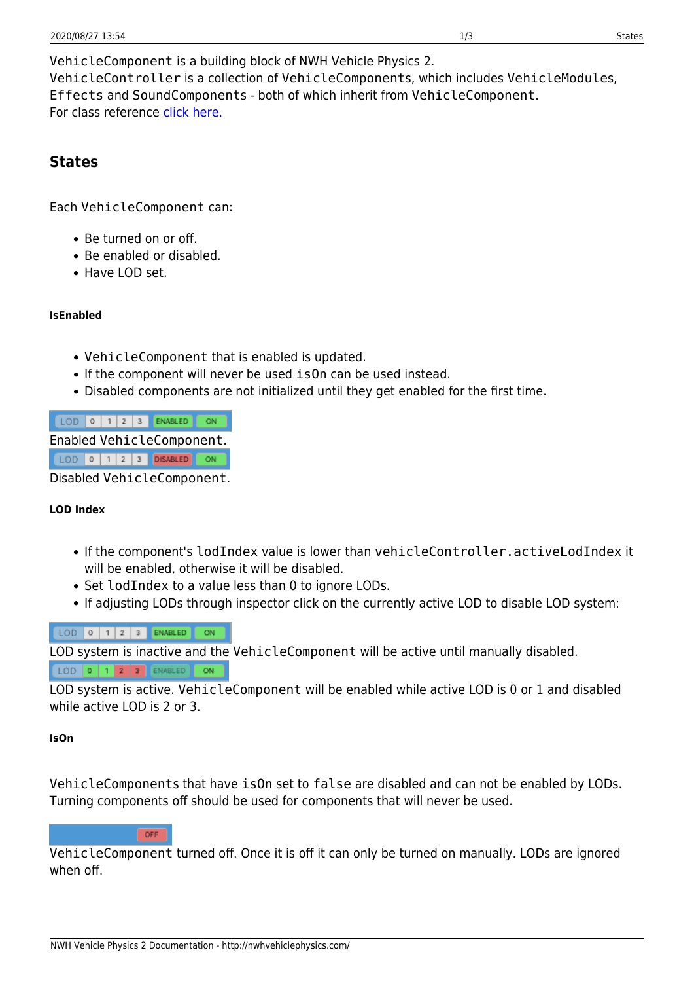VehicleComponent is a building block of NWH Vehicle Physics 2. VehicleController is a collection of VehicleComponents, which includes VehicleModules, Effects and SoundComponents - both of which inherit from VehicleComponent. For class reference [click here.](http://46.101.247.190:9989/class_n_w_h_1_1_vehicle_physics_1_1_vehicle_component.html)

### **States**

Each VehicleComponent can:

- Be turned on or off.
- Be enabled or disabled.
- Have LOD set.

### **IsEnabled**

- VehicleComponent that is enabled is updated.
- If the component will never be used isOn can be used instead.
- Disabled components are not initialized until they get enabled for the first time.

|                            |  |  |  |  |  | $LOD$ 0 1 2 3 ENABLED ON |  |
|----------------------------|--|--|--|--|--|--------------------------|--|
| Enabled VehicleComponent.  |  |  |  |  |  |                          |  |
|                            |  |  |  |  |  | LOD 0 1 2 3 DISABLED ON  |  |
| Disabled VehicleComponent. |  |  |  |  |  |                          |  |

#### **LOD Index**

- If the component's lodIndex value is lower than vehicleController.activeLodIndex it will be enabled, otherwise it will be disabled.
- Set lod Index to a value less than 0 to ignore LODs.
- If adjusting LODs through inspector click on the currently active LOD to disable LOD system:

### LOD 0 1 2 3 ENABLED ON

LOD system is inactive and the VehicleComponent will be active until manually disabled.

#### LOD 0 1 2 3 ENABLED ON

LOD system is active. VehicleComponent will be enabled while active LOD is 0 or 1 and disabled while active LOD is 2 or 3.

#### **IsOn**

VehicleComponents that have isOn set to false are disabled and can not be enabled by LODs. Turning components off should be used for components that will never be used.

#### OFF

VehicleComponent turned off. Once it is off it can only be turned on manually. LODs are ignored when off.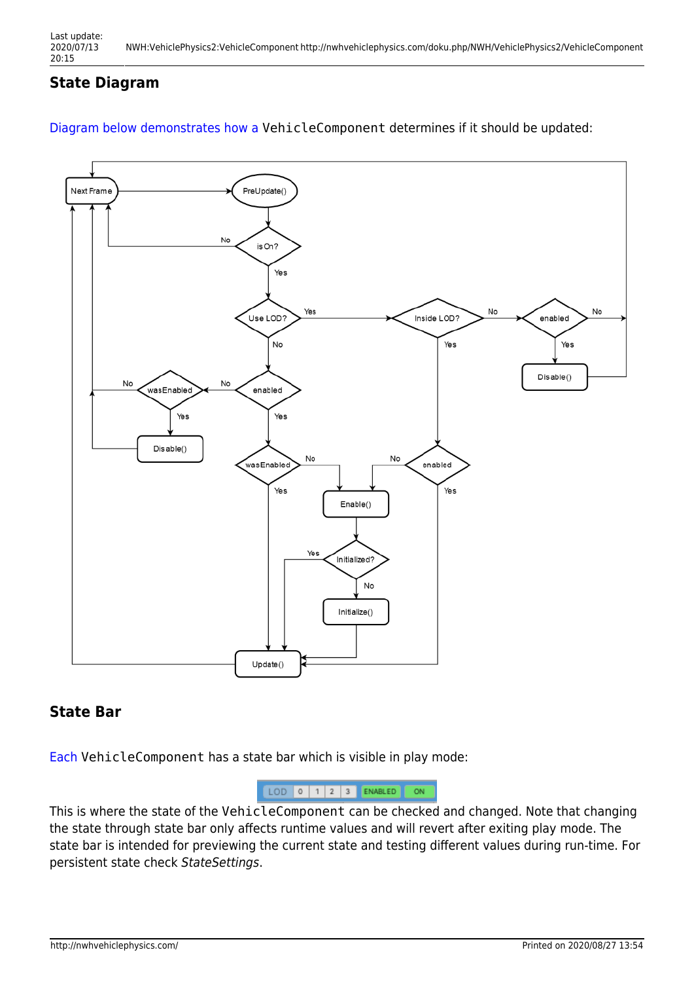# **State Diagram**

### [Diagram below demonstrates how a](http://nwhvehiclephysics.com/lib/exe/detail.php/NWH/VehiclePhysics2/pasted/20200315-185950.png?id=NWH%3AVehiclePhysics2%3AVehicleComponent) VehicleComponent determines if it should be updated:



### **State Bar**

[Each](http://nwhvehiclephysics.com/lib/exe/detail.php/NWH/VehiclePhysics2/pasted/20200315-183627.png?id=NWH%3AVehiclePhysics2%3AVehicleComponent) VehicleComponent has a state bar which is visible in play mode:



This is where the state of the VehicleComponent can be checked and changed. Note that changing the state through state bar only affects runtime values and will revert after exiting play mode. The state bar is intended for previewing the current state and testing different values during run-time. For persistent state check StateSettings.